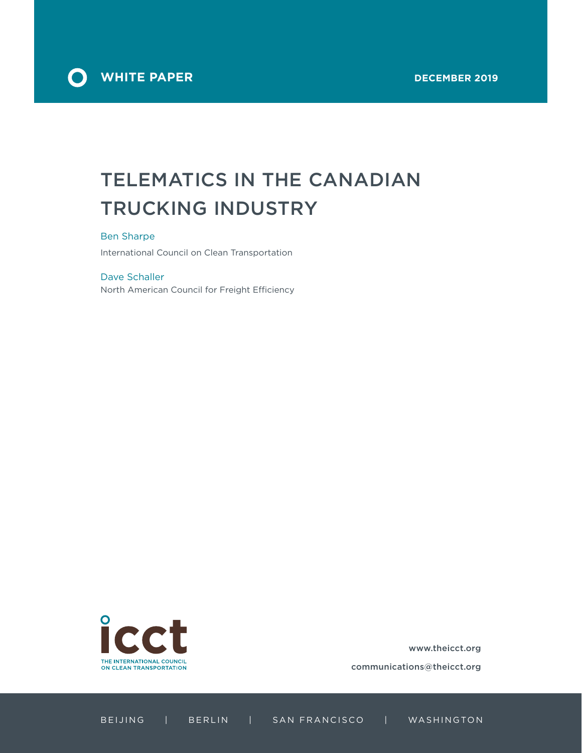

# TELEMATICS IN THE CANADIAN TRUCKING INDUSTRY

#### Ben Sharpe

International Council on Clean Transportation

#### Dave Schaller

North American Council for Freight Efficiency



www.theicct.org

communications@theicct.org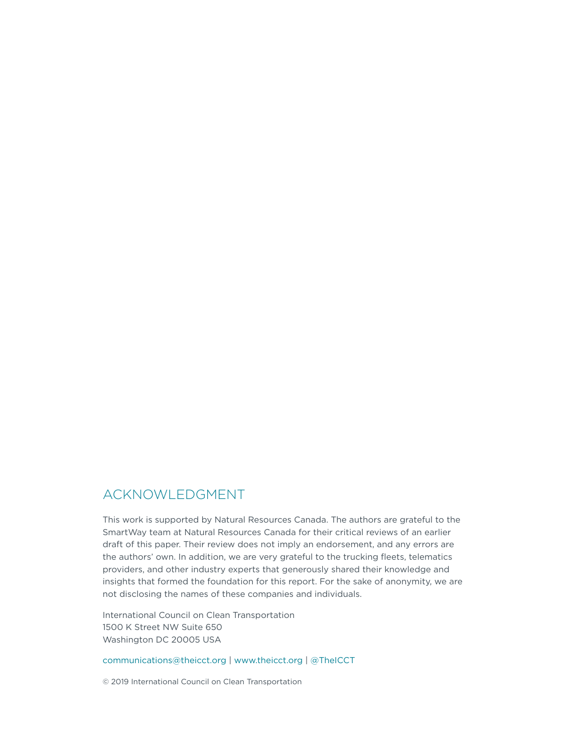### ACKNOWLEDGMENT

This work is supported by Natural Resources Canada. The authors are grateful to the SmartWay team at Natural Resources Canada for their critical reviews of an earlier draft of this paper. Their review does not imply an endorsement, and any errors are the authors' own. In addition, we are very grateful to the trucking fleets, telematics providers, and other industry experts that generously shared their knowledge and insights that formed the foundation for this report. For the sake of anonymity, we are not disclosing the names of these companies and individuals.

International Council on Clean Transportation 1500 K Street NW Suite 650 Washington DC 20005 USA

[communications@theicct.org](mailto:communications%40theicct.org?subject=) | www.theicct.org | @TheICCT

© 2019 International Council on Clean Transportation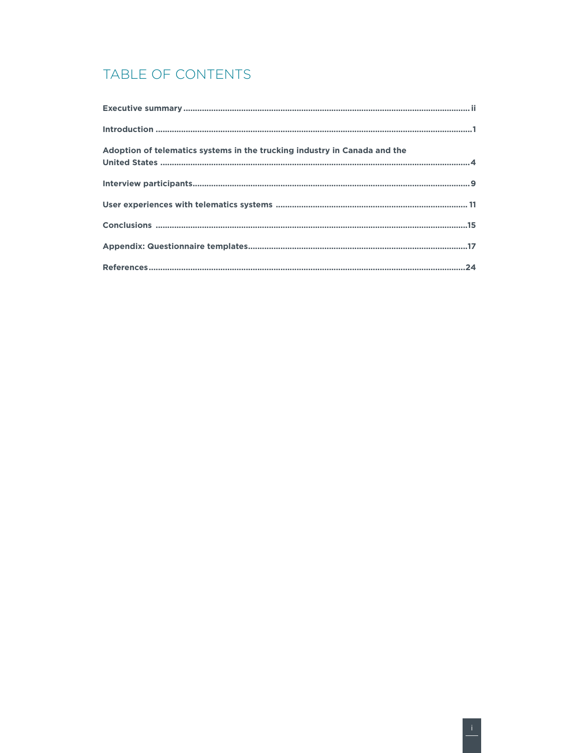# TABLE OF CONTENTS

| Adoption of telematics systems in the trucking industry in Canada and the |
|---------------------------------------------------------------------------|
|                                                                           |
|                                                                           |
|                                                                           |
|                                                                           |
|                                                                           |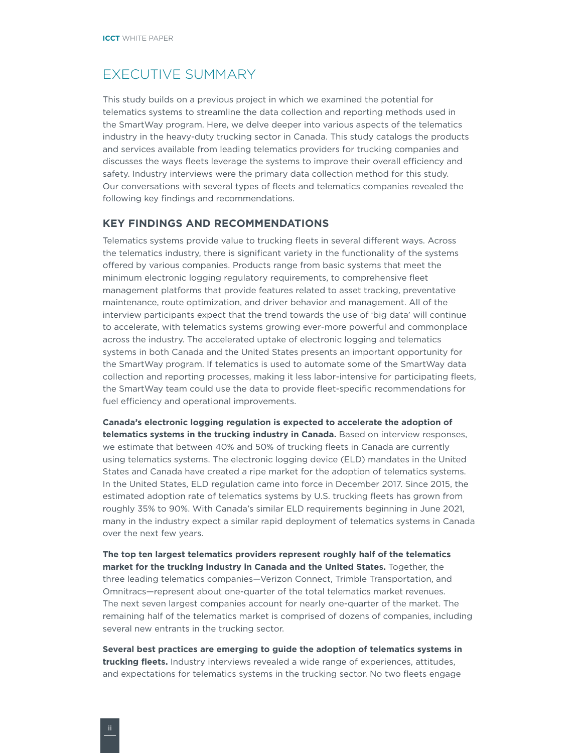### <span id="page-3-0"></span>EXECUTIVE SUMMARY

This study builds on a previous project in which we examined the potential for telematics systems to streamline the data collection and reporting methods used in the SmartWay program. Here, we delve deeper into various aspects of the telematics industry in the heavy-duty trucking sector in Canada. This study catalogs the products and services available from leading telematics providers for trucking companies and discusses the ways fleets leverage the systems to improve their overall efficiency and safety. Industry interviews were the primary data collection method for this study. Our conversations with several types of fleets and telematics companies revealed the following key findings and recommendations.

#### **KEY FINDINGS AND RECOMMENDATIONS**

Telematics systems provide value to trucking fleets in several different ways. Across the telematics industry, there is significant variety in the functionality of the systems offered by various companies. Products range from basic systems that meet the minimum electronic logging regulatory requirements, to comprehensive fleet management platforms that provide features related to asset tracking, preventative maintenance, route optimization, and driver behavior and management. All of the interview participants expect that the trend towards the use of 'big data' will continue to accelerate, with telematics systems growing ever-more powerful and commonplace across the industry. The accelerated uptake of electronic logging and telematics systems in both Canada and the United States presents an important opportunity for the SmartWay program. If telematics is used to automate some of the SmartWay data collection and reporting processes, making it less labor-intensive for participating fleets, the SmartWay team could use the data to provide fleet-specific recommendations for fuel efficiency and operational improvements.

**Canada's electronic logging regulation is expected to accelerate the adoption of telematics systems in the trucking industry in Canada.** Based on interview responses, we estimate that between 40% and 50% of trucking fleets in Canada are currently using telematics systems. The electronic logging device (ELD) mandates in the United States and Canada have created a ripe market for the adoption of telematics systems. In the United States, ELD regulation came into force in December 2017. Since 2015, the estimated adoption rate of telematics systems by U.S. trucking fleets has grown from roughly 35% to 90%. With Canada's similar ELD requirements beginning in June 2021, many in the industry expect a similar rapid deployment of telematics systems in Canada over the next few years.

**The top ten largest telematics providers represent roughly half of the telematics market for the trucking industry in Canada and the United States.** Together, the three leading telematics companies—Verizon Connect, Trimble Transportation, and Omnitracs—represent about one-quarter of the total telematics market revenues. The next seven largest companies account for nearly one-quarter of the market. The remaining half of the telematics market is comprised of dozens of companies, including several new entrants in the trucking sector.

**Several best practices are emerging to guide the adoption of telematics systems in trucking fleets.** Industry interviews revealed a wide range of experiences, attitudes, and expectations for telematics systems in the trucking sector. No two fleets engage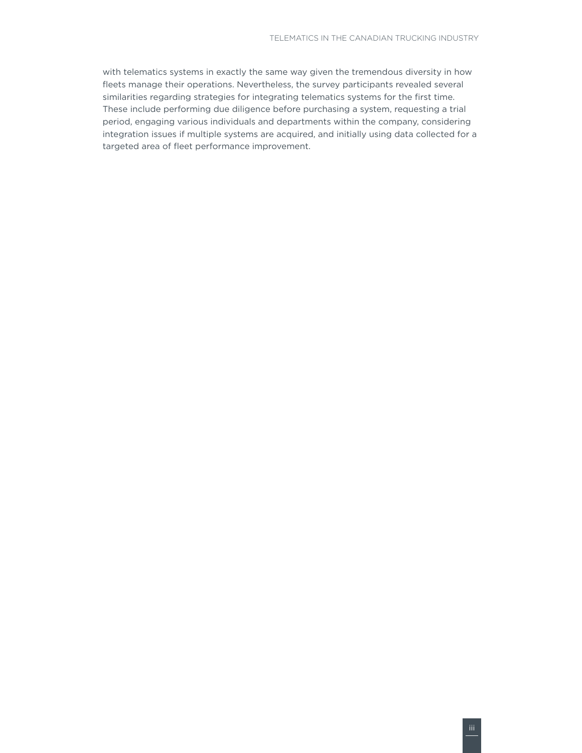with telematics systems in exactly the same way given the tremendous diversity in how fleets manage their operations. Nevertheless, the survey participants revealed several similarities regarding strategies for integrating telematics systems for the first time. These include performing due diligence before purchasing a system, requesting a trial period, engaging various individuals and departments within the company, considering integration issues if multiple systems are acquired, and initially using data collected for a targeted area of fleet performance improvement.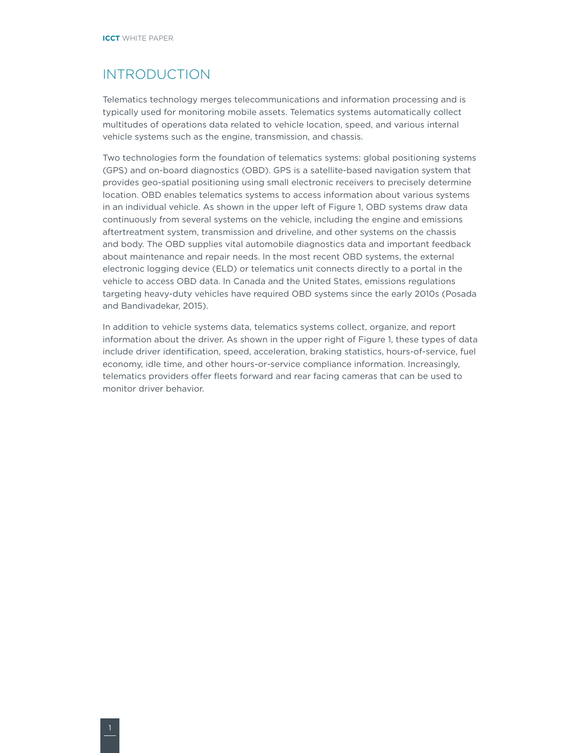# <span id="page-5-0"></span>INTRODUCTION

Telematics technology merges telecommunications and information processing and is typically used for monitoring mobile assets. Telematics systems automatically collect multitudes of operations data related to vehicle location, speed, and various internal vehicle systems such as the engine, transmission, and chassis.

Two technologies form the foundation of telematics systems: global positioning systems (GPS) and on-board diagnostics (OBD). GPS is a satellite-based navigation system that provides geo-spatial positioning using small electronic receivers to precisely determine location. OBD enables telematics systems to access information about various systems in an individual vehicle. As shown in the upper left of Figure 1, OBD systems draw data continuously from several systems on the vehicle, including the engine and emissions aftertreatment system, transmission and driveline, and other systems on the chassis and body. The OBD supplies vital automobile diagnostics data and important feedback about maintenance and repair needs. In the most recent OBD systems, the external electronic logging device (ELD) or telematics unit connects directly to a portal in the vehicle to access OBD data. In Canada and the United States, emissions regulations targeting heavy-duty vehicles have required OBD systems since the early 2010s (Posada and Bandivadekar, 2015).

In addition to vehicle systems data, telematics systems collect, organize, and report information about the driver. As shown in the upper right of Figure 1, these types of data include driver identification, speed, acceleration, braking statistics, hours-of-service, fuel economy, idle time, and other hours-or-service compliance information. Increasingly, telematics providers offer fleets forward and rear facing cameras that can be used to monitor driver behavior.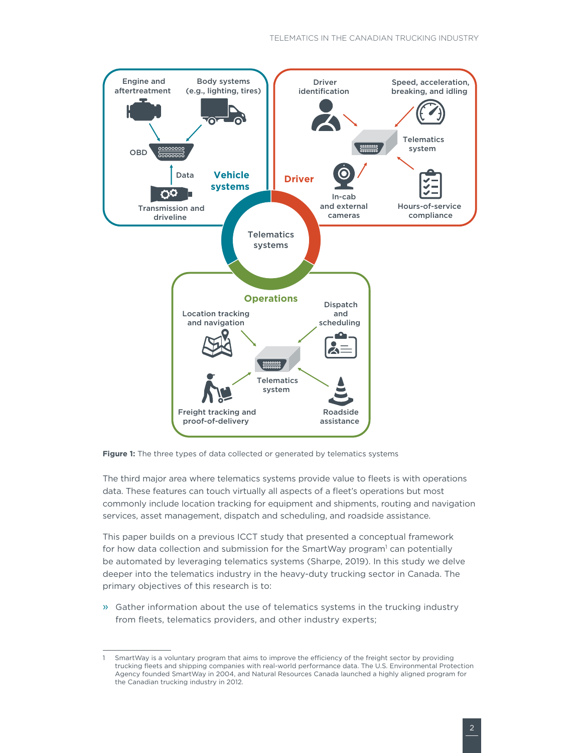

**Figure 1:** The three types of data collected or generated by telematics systems

The third major area where telematics systems provide value to fleets is with operations data. These features can touch virtually all aspects of a fleet's operations but most commonly include location tracking for equipment and shipments, routing and navigation services, asset management, dispatch and scheduling, and roadside assistance.

This paper builds on a previous ICCT study that presented a conceptual framework for how data collection and submission for the SmartWay program<sup>1</sup> can potentially be automated by leveraging telematics systems (Sharpe, 2019). In this study we delve deeper into the telematics industry in the heavy-duty trucking sector in Canada. The primary objectives of this research is to:

» Gather information about the use of telematics systems in the trucking industry from fleets, telematics providers, and other industry experts;

SmartWay is a voluntary program that aims to improve the efficiency of the freight sector by providing trucking fleets and shipping companies with real-world performance data. The U.S. Environmental Protection Agency founded SmartWay in 2004, and Natural Resources Canada launched a highly aligned program for the Canadian trucking industry in 2012.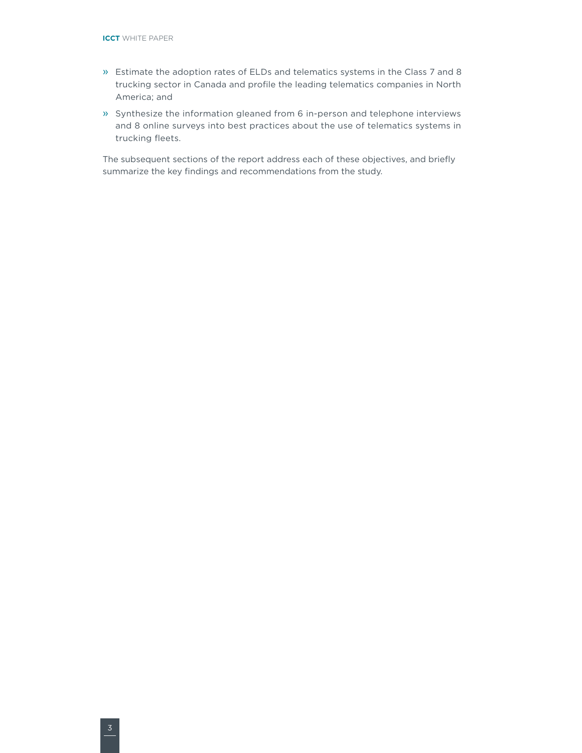- » Estimate the adoption rates of ELDs and telematics systems in the Class 7 and 8 trucking sector in Canada and profile the leading telematics companies in North America; and
- » Synthesize the information gleaned from 6 in-person and telephone interviews and 8 online surveys into best practices about the use of telematics systems in trucking fleets.

The subsequent sections of the report address each of these objectives, and briefly summarize the key findings and recommendations from the study.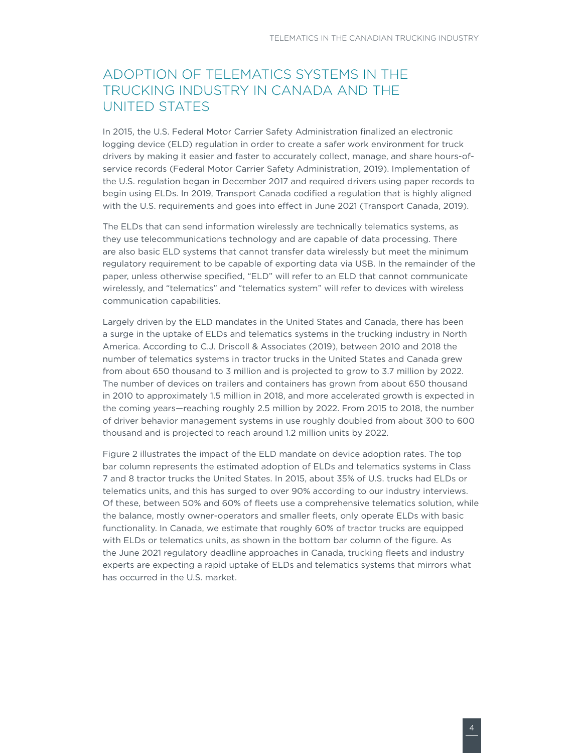# <span id="page-8-0"></span>ADOPTION OF TELEMATICS SYSTEMS IN THE TRUCKING INDUSTRY IN CANADA AND THE UNITED STATES

In 2015, the U.S. Federal Motor Carrier Safety Administration finalized an electronic logging device (ELD) regulation in order to create a safer work environment for truck drivers by making it easier and faster to accurately collect, manage, and share hours-ofservice records (Federal Motor Carrier Safety Administration, 2019). Implementation of the U.S. regulation began in December 2017 and required drivers using paper records to begin using ELDs. In 2019, Transport Canada codified a regulation that is highly aligned with the U.S. requirements and goes into effect in June 2021 (Transport Canada, 2019).

The ELDs that can send information wirelessly are technically telematics systems, as they use telecommunications technology and are capable of data processing. There are also basic ELD systems that cannot transfer data wirelessly but meet the minimum regulatory requirement to be capable of exporting data via USB. In the remainder of the paper, unless otherwise specified, "ELD" will refer to an ELD that cannot communicate wirelessly, and "telematics" and "telematics system" will refer to devices with wireless communication capabilities.

Largely driven by the ELD mandates in the United States and Canada, there has been a surge in the uptake of ELDs and telematics systems in the trucking industry in North America. According to C.J. Driscoll & Associates (2019), between 2010 and 2018 the number of telematics systems in tractor trucks in the United States and Canada grew from about 650 thousand to 3 million and is projected to grow to 3.7 million by 2022. The number of devices on trailers and containers has grown from about 650 thousand in 2010 to approximately 1.5 million in 2018, and more accelerated growth is expected in the coming years—reaching roughly 2.5 million by 2022. From 2015 to 2018, the number of driver behavior management systems in use roughly doubled from about 300 to 600 thousand and is projected to reach around 1.2 million units by 2022.

Figure 2 illustrates the impact of the ELD mandate on device adoption rates. The top bar column represents the estimated adoption of ELDs and telematics systems in Class 7 and 8 tractor trucks the United States. In 2015, about 35% of U.S. trucks had ELDs or telematics units, and this has surged to over 90% according to our industry interviews. Of these, between 50% and 60% of fleets use a comprehensive telematics solution, while the balance, mostly owner-operators and smaller fleets, only operate ELDs with basic functionality. In Canada, we estimate that roughly 60% of tractor trucks are equipped with ELDs or telematics units, as shown in the bottom bar column of the figure. As the June 2021 regulatory deadline approaches in Canada, trucking fleets and industry experts are expecting a rapid uptake of ELDs and telematics systems that mirrors what has occurred in the U.S. market.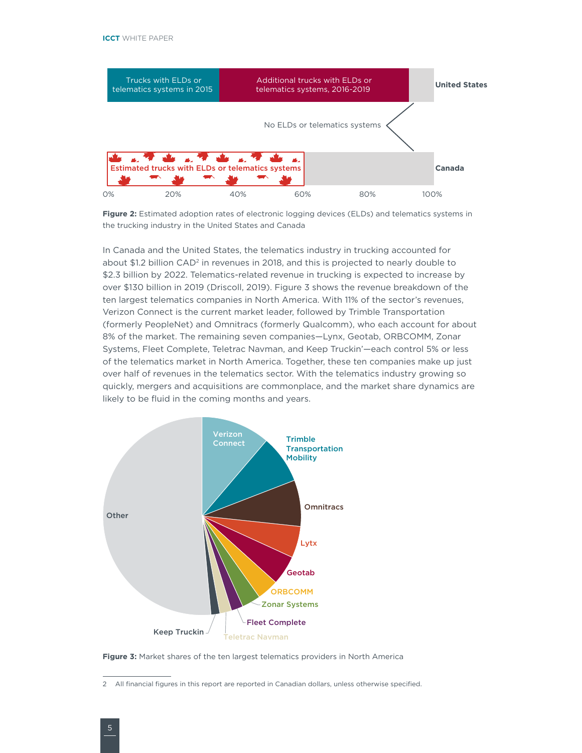

**Figure 2:** Estimated adoption rates of electronic logging devices (ELDs) and telematics systems in the trucking industry in the United States and Canada

In Canada and the United States, the telematics industry in trucking accounted for about  $$1.2$  billion CAD<sup>2</sup> in revenues in 2018, and this is projected to nearly double to \$2.3 billion by 2022. Telematics-related revenue in trucking is expected to increase by over \$130 billion in 2019 (Driscoll, 2019). Figure 3 shows the revenue breakdown of the ten largest telematics companies in North America. With 11% of the sector's revenues, Verizon Connect is the current market leader, followed by Trimble Transportation (formerly PeopleNet) and Omnitracs (formerly Qualcomm), who each account for about 8% of the market. The remaining seven companies—Lynx, Geotab, ORBCOMM, Zonar Systems, Fleet Complete, Teletrac Navman, and Keep Truckin'—each control 5% or less of the telematics market in North America. Together, these ten companies make up just over half of revenues in the telematics sector. With the telematics industry growing so quickly, mergers and acquisitions are commonplace, and the market share dynamics are likely to be fluid in the coming months and years.



**Figure 3:** Market shares of the ten largest telematics providers in North America

<sup>2</sup> All financial figures in this report are reported in Canadian dollars, unless otherwise specified.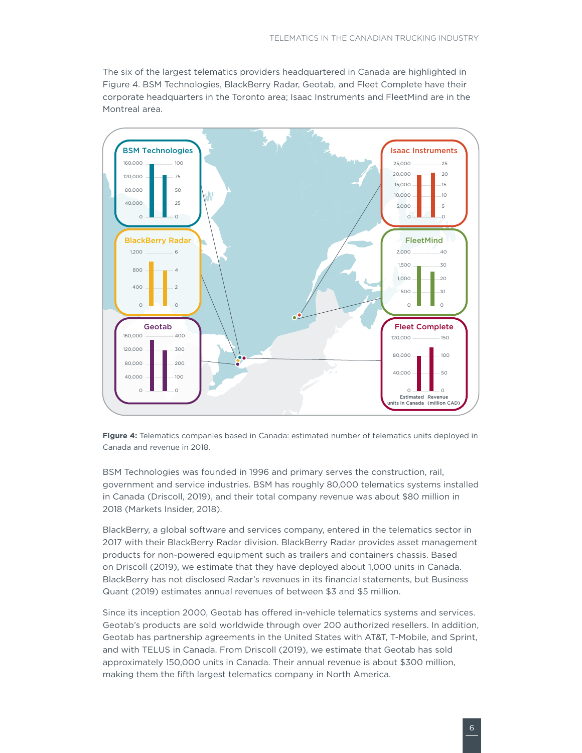The six of the largest telematics providers headquartered in Canada are highlighted in Figure 4. BSM Technologies, BlackBerry Radar, Geotab, and Fleet Complete have their corporate headquarters in the Toronto area; Isaac Instruments and FleetMind are in the Montreal area.





BSM Technologies was founded in 1996 and primary serves the construction, rail, government and service industries. BSM has roughly 80,000 telematics systems installed in Canada (Driscoll, 2019), and their total company revenue was about \$80 million in 2018 (Markets Insider, 2018).

BlackBerry, a global software and services company, entered in the telematics sector in 2017 with their BlackBerry Radar division. BlackBerry Radar provides asset management products for non-powered equipment such as trailers and containers chassis. Based on Driscoll (2019), we estimate that they have deployed about 1,000 units in Canada. BlackBerry has not disclosed Radar's revenues in its financial statements, but Business Quant (2019) estimates annual revenues of between \$3 and \$5 million.

Since its inception 2000, Geotab has offered in-vehicle telematics systems and services. Geotab's products are sold worldwide through over 200 authorized resellers. In addition, Geotab has partnership agreements in the United States with AT&T, T-Mobile, and Sprint, and with TELUS in Canada. From Driscoll (2019), we estimate that Geotab has sold approximately 150,000 units in Canada. Their annual revenue is about \$300 million, making them the fifth largest telematics company in North America.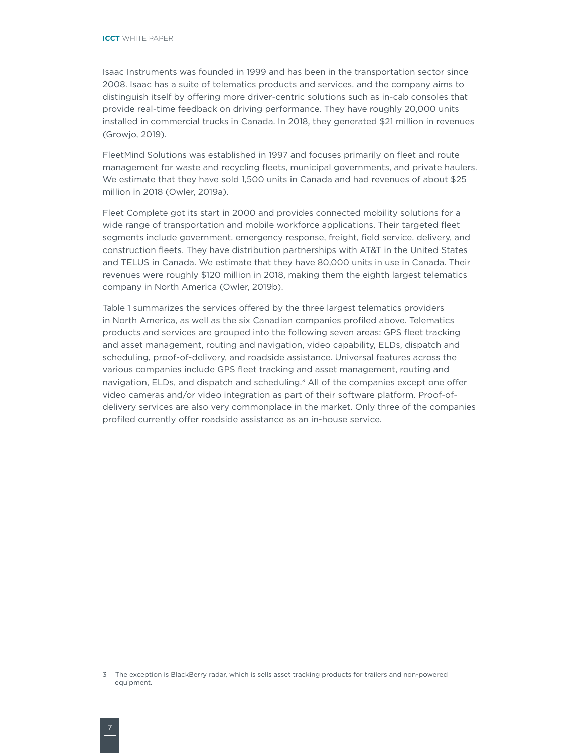Isaac Instruments was founded in 1999 and has been in the transportation sector since 2008. Isaac has a suite of telematics products and services, and the company aims to distinguish itself by offering more driver-centric solutions such as in-cab consoles that provide real-time feedback on driving performance. They have roughly 20,000 units installed in commercial trucks in Canada. In 2018, they generated \$21 million in revenues (Growjo, 2019).

FleetMind Solutions was established in 1997 and focuses primarily on fleet and route management for waste and recycling fleets, municipal governments, and private haulers. We estimate that they have sold 1,500 units in Canada and had revenues of about \$25 million in 2018 (Owler, 2019a).

Fleet Complete got its start in 2000 and provides connected mobility solutions for a wide range of transportation and mobile workforce applications. Their targeted fleet segments include government, emergency response, freight, field service, delivery, and construction fleets. They have distribution partnerships with AT&T in the United States and TELUS in Canada. We estimate that they have 80,000 units in use in Canada. Their revenues were roughly \$120 million in 2018, making them the eighth largest telematics company in North America (Owler, 2019b).

Table 1 summarizes the services offered by the three largest telematics providers in North America, as well as the six Canadian companies profiled above. Telematics products and services are grouped into the following seven areas: GPS fleet tracking and asset management, routing and navigation, video capability, ELDs, dispatch and scheduling, proof-of-delivery, and roadside assistance. Universal features across the various companies include GPS fleet tracking and asset management, routing and navigation, ELDs, and dispatch and scheduling.<sup>3</sup> All of the companies except one offer video cameras and/or video integration as part of their software platform. Proof-ofdelivery services are also very commonplace in the market. Only three of the companies profiled currently offer roadside assistance as an in-house service.

<sup>3</sup> The exception is BlackBerry radar, which is sells asset tracking products for trailers and non-powered equipment.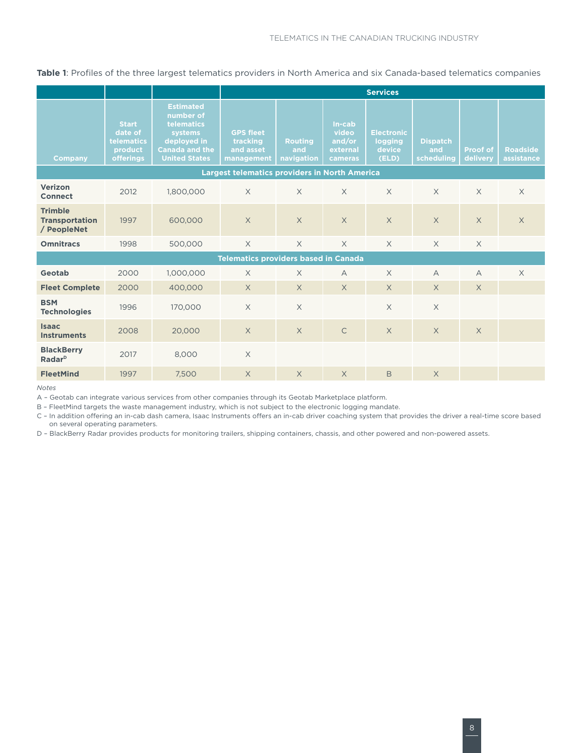**Table 1**: Profiles of the three largest telematics providers in North America and six Canada-based telematics companies

|                                                        |                                                                      |                                                                                                                        | <b>Services</b>                                         |                                     |                                                  |                                                 |                                      |                      |                               |
|--------------------------------------------------------|----------------------------------------------------------------------|------------------------------------------------------------------------------------------------------------------------|---------------------------------------------------------|-------------------------------------|--------------------------------------------------|-------------------------------------------------|--------------------------------------|----------------------|-------------------------------|
| <b>Company</b>                                         | <b>Start</b><br>date of<br>telematics<br>product<br><b>offerings</b> | <b>Estimated</b><br>number of<br>telematics<br>systems<br>deployed in<br><b>Canada and the</b><br><b>United States</b> | <b>GPS fleet</b><br>tracking<br>and asset<br>management | <b>Routing</b><br>and<br>navigation | In-cab<br>video<br>and/or<br>external<br>cameras | <b>Electronic</b><br>logging<br>device<br>(ELD) | <b>Dispatch</b><br>and<br>scheduling | Proof of<br>delivery | <b>Roadside</b><br>assistance |
| <b>Largest telematics providers in North America</b>   |                                                                      |                                                                                                                        |                                                         |                                     |                                                  |                                                 |                                      |                      |                               |
| Verizon<br><b>Connect</b>                              | 2012                                                                 | 1,800,000                                                                                                              | $\times$                                                | $\times$                            | $\times$                                         | $\times$                                        | $\times$                             | $\times$             | $\times$                      |
| <b>Trimble</b><br><b>Transportation</b><br>/ PeopleNet | 1997                                                                 | 600,000                                                                                                                | $\times$                                                | $\times$                            | $\times$                                         | $\times$                                        | $\times$                             | $\times$             | $\times$                      |
| <b>Omnitracs</b>                                       | 1998                                                                 | 500,000                                                                                                                | $\times$                                                | $\times$                            | $\times$                                         | $\times$                                        | $\times$                             | $\times$             |                               |
| <b>Telematics providers based in Canada</b>            |                                                                      |                                                                                                                        |                                                         |                                     |                                                  |                                                 |                                      |                      |                               |
| Geotab                                                 | 2000                                                                 | 1,000,000                                                                                                              | $\times$                                                | $\times$                            | $\forall$                                        | $\times$                                        | $\overline{A}$                       | $\overline{A}$       | $\times$                      |
| <b>Fleet Complete</b>                                  | 2000                                                                 | 400,000                                                                                                                | $\times$                                                | $\times$                            | $\times$                                         | $\times$                                        | $\times$                             | $\times$             |                               |
| <b>BSM</b><br><b>Technologies</b>                      | 1996                                                                 | 170,000                                                                                                                | $\times$                                                | $\times$                            |                                                  | $\times$                                        | $\times$                             |                      |                               |
| <b>Isaac</b><br><b>Instruments</b>                     | 2008                                                                 | 20,000                                                                                                                 | $\times$                                                | $\times$                            | $\mathsf{C}$                                     | $\times$                                        | $\times$                             | $\times$             |                               |
| <b>BlackBerry</b><br>Radar <sup>D</sup>                | 2017                                                                 | 8.000                                                                                                                  | $\times$                                                |                                     |                                                  |                                                 |                                      |                      |                               |
| <b>FleetMind</b>                                       | 1997                                                                 | 7,500                                                                                                                  | $\times$                                                | $\times$                            | $\overline{X}$                                   | B                                               | $\times$                             |                      |                               |

*Notes*

A – Geotab can integrate various services from other companies through its Geotab Marketplace platform.

B – FleetMind targets the waste management industry, which is not subject to the electronic logging mandate.

C – In addition offering an in-cab dash camera, Isaac Instruments offers an in-cab driver coaching system that provides the driver a real-time score based on several operating parameters.

D – BlackBerry Radar provides products for monitoring trailers, shipping containers, chassis, and other powered and non-powered assets.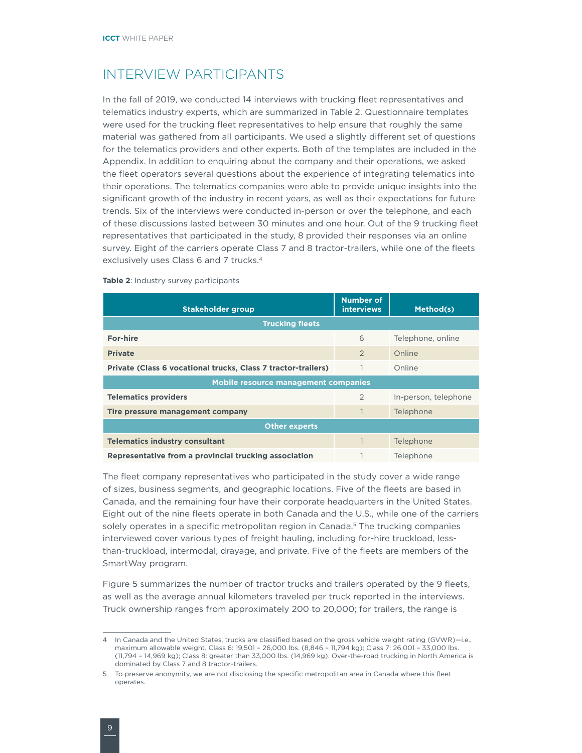### <span id="page-13-0"></span>INTERVIEW PARTICIPANTS

In the fall of 2019, we conducted 14 interviews with trucking fleet representatives and telematics industry experts, which are summarized in Table 2. Questionnaire templates were used for the trucking fleet representatives to help ensure that roughly the same material was gathered from all participants. We used a slightly different set of questions for the telematics providers and other experts. Both of the templates are included in the Appendix. In addition to enquiring about the company and their operations, we asked the fleet operators several questions about the experience of integrating telematics into their operations. The telematics companies were able to provide unique insights into the significant growth of the industry in recent years, as well as their expectations for future trends. Six of the interviews were conducted in-person or over the telephone, and each of these discussions lasted between 30 minutes and one hour. Out of the 9 trucking fleet representatives that participated in the study, 8 provided their responses via an online survey. Eight of the carriers operate Class 7 and 8 tractor-trailers, while one of the fleets exclusively uses Class 6 and 7 trucks.4

| Stakeholder group                                             | <b>Number of</b><br><b>interviews</b> | Method(s)            |  |  |  |  |  |  |
|---------------------------------------------------------------|---------------------------------------|----------------------|--|--|--|--|--|--|
| <b>Trucking fleets</b>                                        |                                       |                      |  |  |  |  |  |  |
| <b>For-hire</b>                                               | 6                                     | Telephone, online    |  |  |  |  |  |  |
| <b>Private</b>                                                | $\overline{2}$                        | Online               |  |  |  |  |  |  |
| Private (Class 6 vocational trucks, Class 7 tractor-trailers) |                                       | Online               |  |  |  |  |  |  |
| Mobile resource management companies                          |                                       |                      |  |  |  |  |  |  |
| <b>Telematics providers</b>                                   | 2                                     | In-person, telephone |  |  |  |  |  |  |
| Tire pressure management company                              |                                       | Telephone            |  |  |  |  |  |  |
| <b>Other experts</b>                                          |                                       |                      |  |  |  |  |  |  |
| <b>Telematics industry consultant</b>                         |                                       | Telephone            |  |  |  |  |  |  |
| Representative from a provincial trucking association         |                                       | Telephone            |  |  |  |  |  |  |

#### **Table 2**: Industry survey participants

The fleet company representatives who participated in the study cover a wide range of sizes, business segments, and geographic locations. Five of the fleets are based in Canada, and the remaining four have their corporate headquarters in the United States. Eight out of the nine fleets operate in both Canada and the U.S., while one of the carriers solely operates in a specific metropolitan region in Canada.<sup>5</sup> The trucking companies interviewed cover various types of freight hauling, including for-hire truckload, lessthan-truckload, intermodal, drayage, and private. Five of the fleets are members of the SmartWay program.

Figure 5 summarizes the number of tractor trucks and trailers operated by the 9 fleets, as well as the average annual kilometers traveled per truck reported in the interviews. Truck ownership ranges from approximately 200 to 20,000; for trailers, the range is

<sup>4</sup> In Canada and the United States, trucks are classified based on the gross vehicle weight rating (GVWR)—i.e., maximum allowable weight. Class 6: 19,501 – 26,000 lbs. (8,846 – 11,794 kg); Class 7: 26,001 – 33,000 lbs. (11,794 – 14,969 kg); Class 8: greater than 33,000 lbs. (14,969 kg). Over-the-road trucking in North America is dominated by Class 7 and 8 tractor-trailers.

<sup>5</sup> To preserve anonymity, we are not disclosing the specific metropolitan area in Canada where this fleet operates.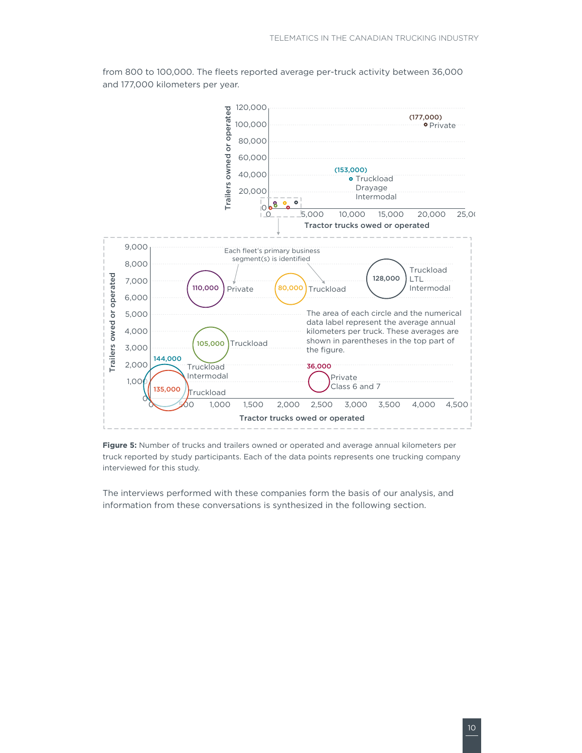

from 800 to 100,000. The fleets reported average per-truck activity between 36,000 and 177,000 kilometers per year.

**Figure 5:** Number of trucks and trailers owned or operated and average annual kilometers per truck reported by study participants. Each of the data points represents one trucking company interviewed for this study.

The interviews performed with these companies form the basis of our analysis, and information from these conversations is synthesized in the following section.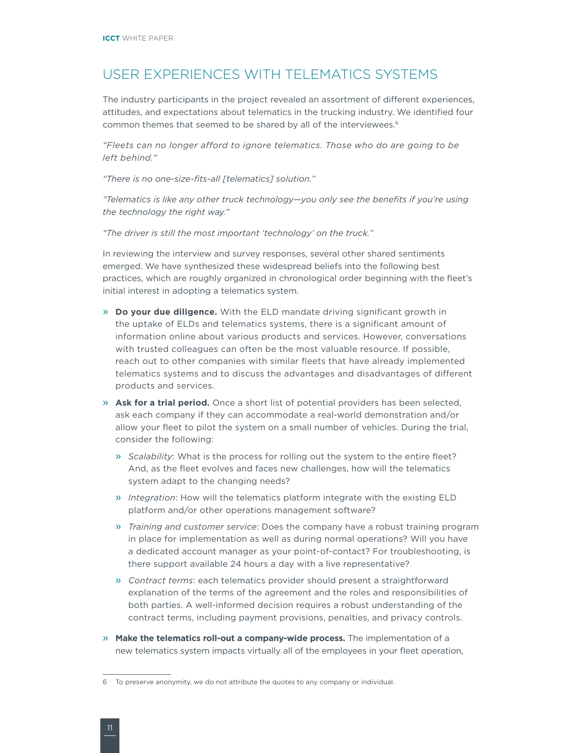# <span id="page-15-0"></span>USER EXPERIENCES WITH TELEMATICS SYSTEMS

The industry participants in the project revealed an assortment of different experiences, attitudes, and expectations about telematics in the trucking industry. We identified four common themes that seemed to be shared by all of the interviewees.<sup>6</sup>

*"Fleets can no longer afford to ignore telematics. Those who do are going to be left behind."*

*"There is no one-size-fits-all [telematics] solution."* 

*"Telematics is like any other truck technology—you only see the benefits if you're using the technology the right way."*

*"The driver is still the most important 'technology' on the truck."*

In reviewing the interview and survey responses, several other shared sentiments emerged. We have synthesized these widespread beliefs into the following best practices, which are roughly organized in chronological order beginning with the fleet's initial interest in adopting a telematics system.

- » **Do your due diligence.** With the ELD mandate driving significant growth in the uptake of ELDs and telematics systems, there is a significant amount of information online about various products and services. However, conversations with trusted colleagues can often be the most valuable resource. If possible, reach out to other companies with similar fleets that have already implemented telematics systems and to discuss the advantages and disadvantages of different products and services.
- » **Ask for a trial period.** Once a short list of potential providers has been selected, ask each company if they can accommodate a real-world demonstration and/or allow your fleet to pilot the system on a small number of vehicles. During the trial, consider the following:
	- » *Scalability*: What is the process for rolling out the system to the entire fleet? And, as the fleet evolves and faces new challenges, how will the telematics system adapt to the changing needs?
	- » *Integration*: How will the telematics platform integrate with the existing ELD platform and/or other operations management software?
	- » *Training and customer service*: Does the company have a robust training program in place for implementation as well as during normal operations? Will you have a dedicated account manager as your point-of-contact? For troubleshooting, is there support available 24 hours a day with a live representative?
	- » *Contract terms*: each telematics provider should present a straightforward explanation of the terms of the agreement and the roles and responsibilities of both parties. A well-informed decision requires a robust understanding of the contract terms, including payment provisions, penalties, and privacy controls.
- » **Make the telematics roll-out a company-wide process.** The implementation of a new telematics system impacts virtually all of the employees in your fleet operation,

<sup>6</sup> To preserve anonymity, we do not attribute the quotes to any company or individual.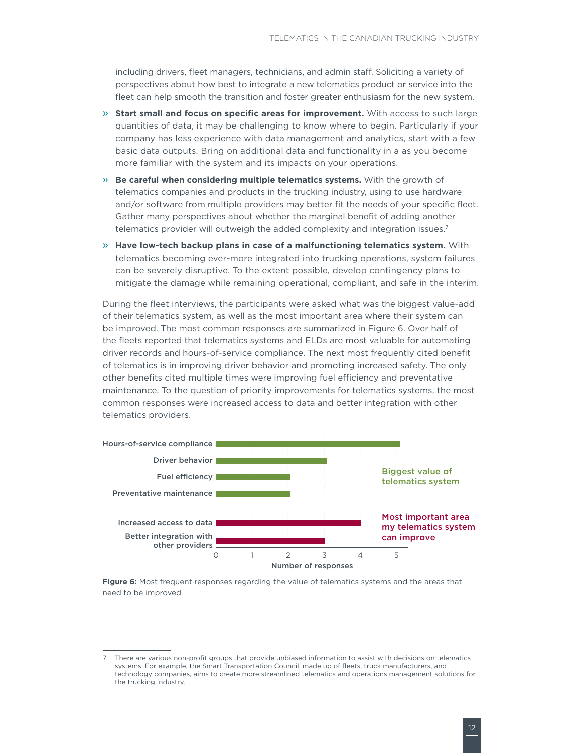including drivers, fleet managers, technicians, and admin staff. Soliciting a variety of perspectives about how best to integrate a new telematics product or service into the fleet can help smooth the transition and foster greater enthusiasm for the new system.

- » **Start small and focus on specific areas for improvement.** With access to such large quantities of data, it may be challenging to know where to begin. Particularly if your company has less experience with data management and analytics, start with a few basic data outputs. Bring on additional data and functionality in a as you become more familiar with the system and its impacts on your operations.
- » **Be careful when considering multiple telematics systems.** With the growth of telematics companies and products in the trucking industry, using to use hardware and/or software from multiple providers may better fit the needs of your specific fleet. Gather many perspectives about whether the marginal benefit of adding another telematics provider will outweigh the added complexity and integration issues.<sup>7</sup>
- » **Have low-tech backup plans in case of a malfunctioning telematics system.** With telematics becoming ever-more integrated into trucking operations, system failures can be severely disruptive. To the extent possible, develop contingency plans to mitigate the damage while remaining operational, compliant, and safe in the interim.

During the fleet interviews, the participants were asked what was the biggest value-add of their telematics system, as well as the most important area where their system can be improved. The most common responses are summarized in Figure 6. Over half of the fleets reported that telematics systems and ELDs are most valuable for automating driver records and hours-of-service compliance. The next most frequently cited benefit of telematics is in improving driver behavior and promoting increased safety. The only other benefits cited multiple times were improving fuel efficiency and preventative maintenance. To the question of priority improvements for telematics systems, the most common responses were increased access to data and better integration with other telematics providers.



**Figure 6:** Most frequent responses regarding the value of telematics systems and the areas that need to be improved

<sup>7</sup> There are various non-profit groups that provide unbiased information to assist with decisions on telematics systems. For example, the Smart Transportation Council, made up of fleets, truck manufacturers, and technology companies, aims to create more streamlined telematics and operations management solutions for the trucking industry.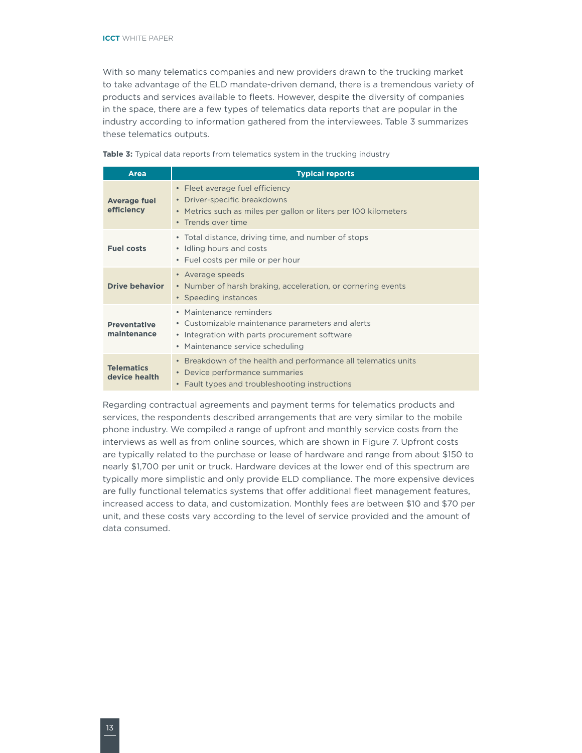With so many telematics companies and new providers drawn to the trucking market to take advantage of the ELD mandate-driven demand, there is a tremendous variety of products and services available to fleets. However, despite the diversity of companies in the space, there are a few types of telematics data reports that are popular in the industry according to information gathered from the interviewees. Table 3 summarizes these telematics outputs.

| <b>Area</b>                        | <b>Typical reports</b>                                                                                                                                           |
|------------------------------------|------------------------------------------------------------------------------------------------------------------------------------------------------------------|
| <b>Average fuel</b><br>efficiency  | • Fleet average fuel efficiency<br>• Driver-specific breakdowns<br>• Metrics such as miles per gallon or liters per 100 kilometers<br>• Trends over time         |
| <b>Fuel costs</b>                  | • Total distance, driving time, and number of stops<br>• Idling hours and costs<br>• Fuel costs per mile or per hour                                             |
| <b>Drive behavior</b>              | • Average speeds<br>• Number of harsh braking, acceleration, or cornering events<br>• Speeding instances                                                         |
| <b>Preventative</b><br>maintenance | • Maintenance reminders<br>• Customizable maintenance parameters and alerts<br>• Integration with parts procurement software<br>• Maintenance service scheduling |
| <b>Telematics</b><br>device health | • Breakdown of the health and performance all telematics units<br>• Device performance summaries<br>• Fault types and troubleshooting instructions               |

**Table 3:** Typical data reports from telematics system in the trucking industry

Regarding contractual agreements and payment terms for telematics products and services, the respondents described arrangements that are very similar to the mobile phone industry. We compiled a range of upfront and monthly service costs from the interviews as well as from online sources, which are shown in Figure 7. Upfront costs are typically related to the purchase or lease of hardware and range from about \$150 to nearly \$1,700 per unit or truck. Hardware devices at the lower end of this spectrum are typically more simplistic and only provide ELD compliance. The more expensive devices are fully functional telematics systems that offer additional fleet management features, increased access to data, and customization. Monthly fees are between \$10 and \$70 per unit, and these costs vary according to the level of service provided and the amount of data consumed.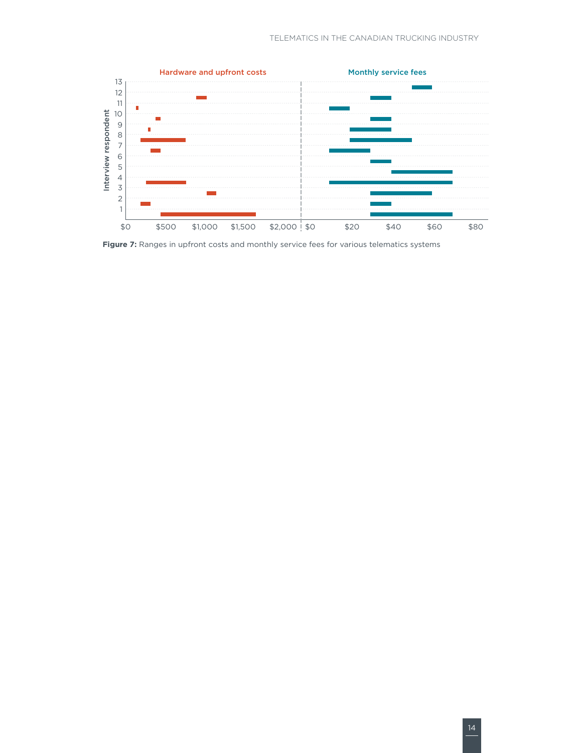

**Figure 7:** Ranges in upfront costs and monthly service fees for various telematics systems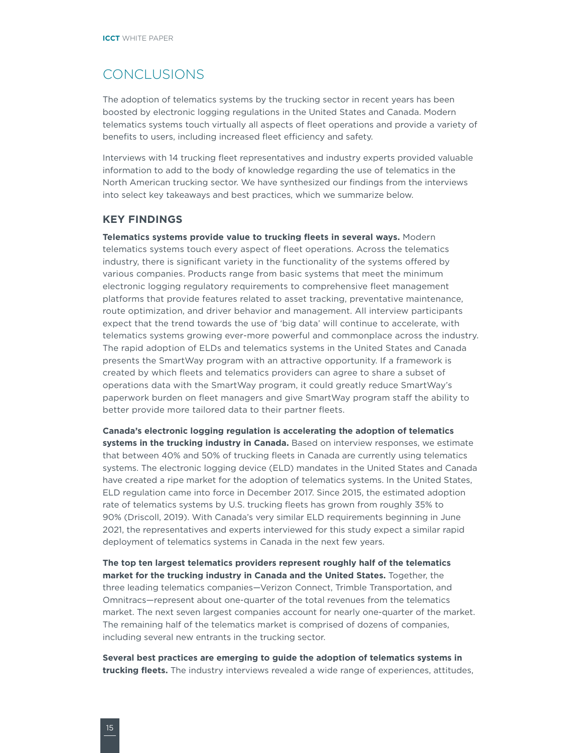### <span id="page-19-0"></span>CONCLUSIONS

The adoption of telematics systems by the trucking sector in recent years has been boosted by electronic logging regulations in the United States and Canada. Modern telematics systems touch virtually all aspects of fleet operations and provide a variety of benefits to users, including increased fleet efficiency and safety.

Interviews with 14 trucking fleet representatives and industry experts provided valuable information to add to the body of knowledge regarding the use of telematics in the North American trucking sector. We have synthesized our findings from the interviews into select key takeaways and best practices, which we summarize below.

#### **KEY FINDINGS**

**Telematics systems provide value to trucking fleets in several ways.** Modern telematics systems touch every aspect of fleet operations. Across the telematics industry, there is significant variety in the functionality of the systems offered by various companies. Products range from basic systems that meet the minimum electronic logging regulatory requirements to comprehensive fleet management platforms that provide features related to asset tracking, preventative maintenance, route optimization, and driver behavior and management. All interview participants expect that the trend towards the use of 'big data' will continue to accelerate, with telematics systems growing ever-more powerful and commonplace across the industry. The rapid adoption of ELDs and telematics systems in the United States and Canada presents the SmartWay program with an attractive opportunity. If a framework is created by which fleets and telematics providers can agree to share a subset of operations data with the SmartWay program, it could greatly reduce SmartWay's paperwork burden on fleet managers and give SmartWay program staff the ability to better provide more tailored data to their partner fleets.

**Canada's electronic logging regulation is accelerating the adoption of telematics systems in the trucking industry in Canada.** Based on interview responses, we estimate that between 40% and 50% of trucking fleets in Canada are currently using telematics systems. The electronic logging device (ELD) mandates in the United States and Canada have created a ripe market for the adoption of telematics systems. In the United States, ELD regulation came into force in December 2017. Since 2015, the estimated adoption rate of telematics systems by U.S. trucking fleets has grown from roughly 35% to 90% (Driscoll, 2019). With Canada's very similar ELD requirements beginning in June 2021, the representatives and experts interviewed for this study expect a similar rapid deployment of telematics systems in Canada in the next few years.

**The top ten largest telematics providers represent roughly half of the telematics market for the trucking industry in Canada and the United States.** Together, the three leading telematics companies—Verizon Connect, Trimble Transportation, and Omnitracs—represent about one-quarter of the total revenues from the telematics market. The next seven largest companies account for nearly one-quarter of the market. The remaining half of the telematics market is comprised of dozens of companies, including several new entrants in the trucking sector.

**Several best practices are emerging to guide the adoption of telematics systems in trucking fleets.** The industry interviews revealed a wide range of experiences, attitudes,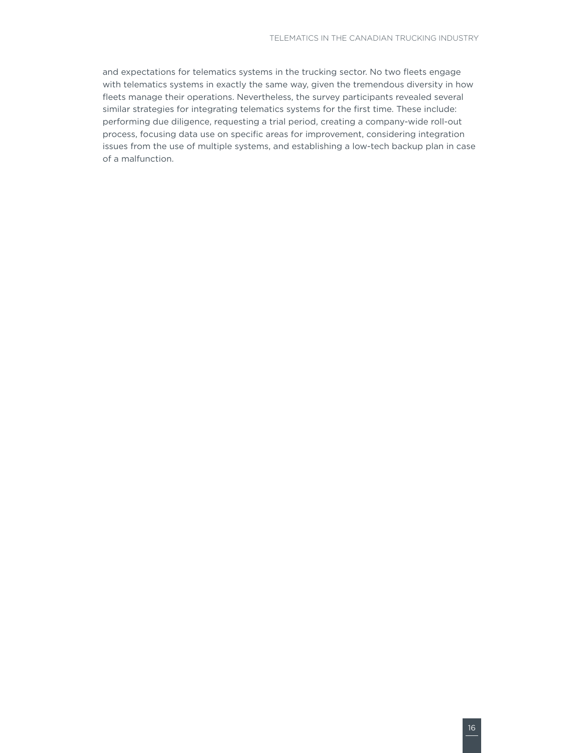and expectations for telematics systems in the trucking sector. No two fleets engage with telematics systems in exactly the same way, given the tremendous diversity in how fleets manage their operations. Nevertheless, the survey participants revealed several similar strategies for integrating telematics systems for the first time. These include: performing due diligence, requesting a trial period, creating a company-wide roll-out process, focusing data use on specific areas for improvement, considering integration issues from the use of multiple systems, and establishing a low-tech backup plan in case of a malfunction.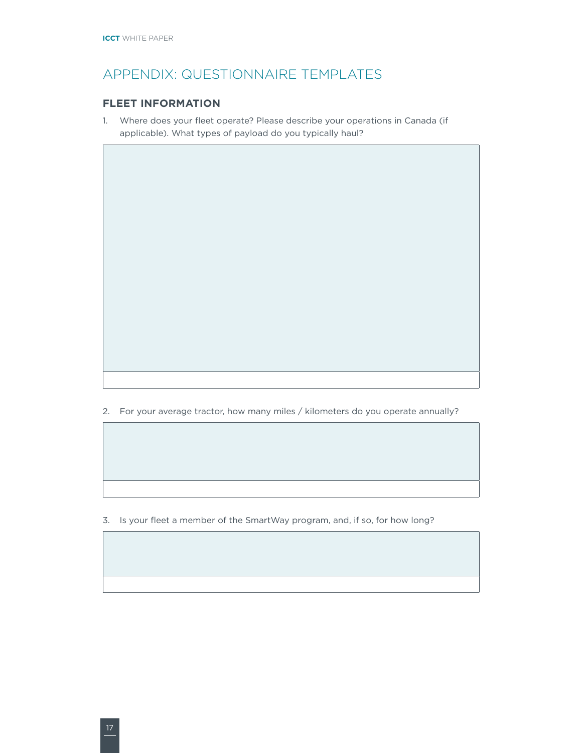# <span id="page-21-0"></span>APPENDIX: QUESTIONNAIRE TEMPLATES

#### **FLEET INFORMATION**

1. Where does your fleet operate? Please describe your operations in Canada (if applicable). What types of payload do you typically haul?

2. For your average tractor, how many miles / kilometers do you operate annually?

3. Is your fleet a member of the SmartWay program, and, if so, for how long?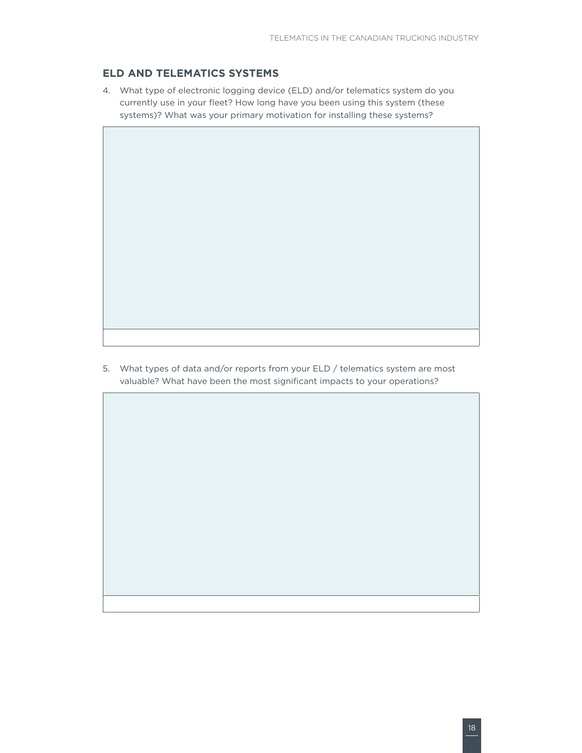#### **ELD AND TELEMATICS SYSTEMS**

4. What type of electronic logging device (ELD) and/or telematics system do you currently use in your fleet? How long have you been using this system (these systems)? What was your primary motivation for installing these systems?

5. What types of data and/or reports from your ELD / telematics system are most valuable? What have been the most significant impacts to your operations?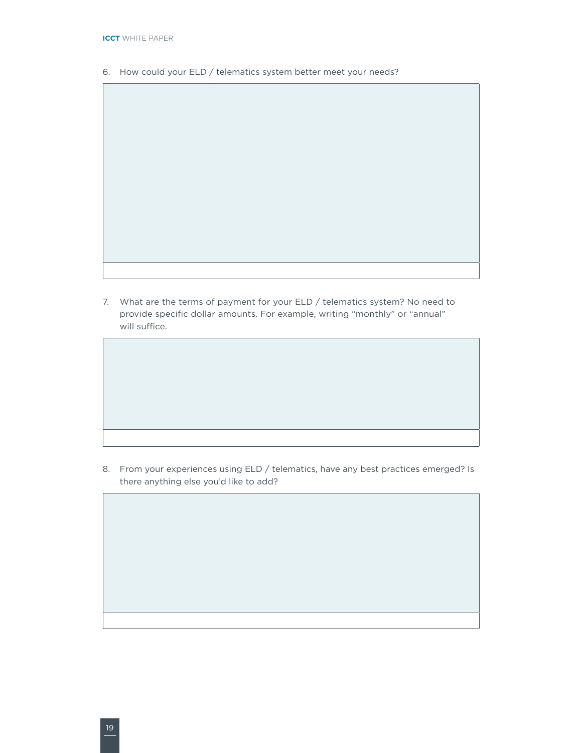- 6. How could your ELD / telematics system better meet your needs?
- 
- 7. What are the terms of payment for your ELD / telematics system? No need to provide specific dollar amounts. For example, writing "monthly" or "annual" will suffice.

8. From your experiences using ELD / telematics, have any best practices emerged? Is there anything else you'd like to add?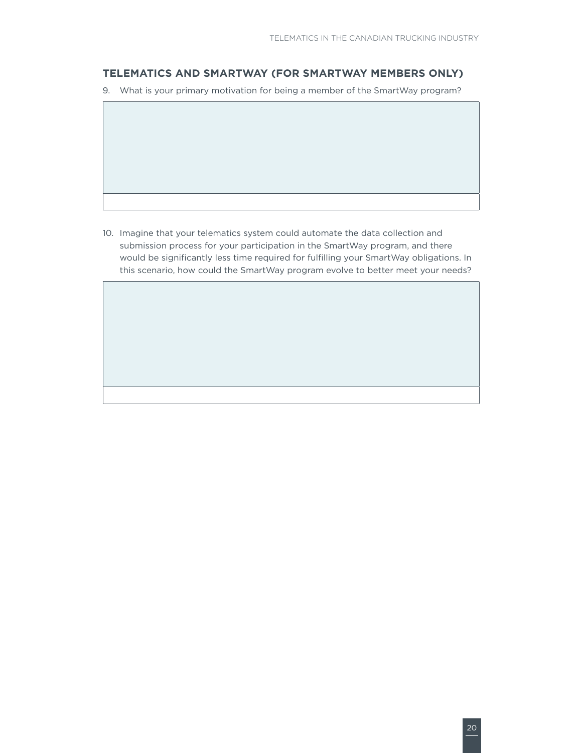#### **TELEMATICS AND SMARTWAY (FOR SMARTWAY MEMBERS ONLY)**

- 9. What is your primary motivation for being a member of the SmartWay program?
- 
- 10. Imagine that your telematics system could automate the data collection and submission process for your participation in the SmartWay program, and there would be significantly less time required for fulfilling your SmartWay obligations. In this scenario, how could the SmartWay program evolve to better meet your needs?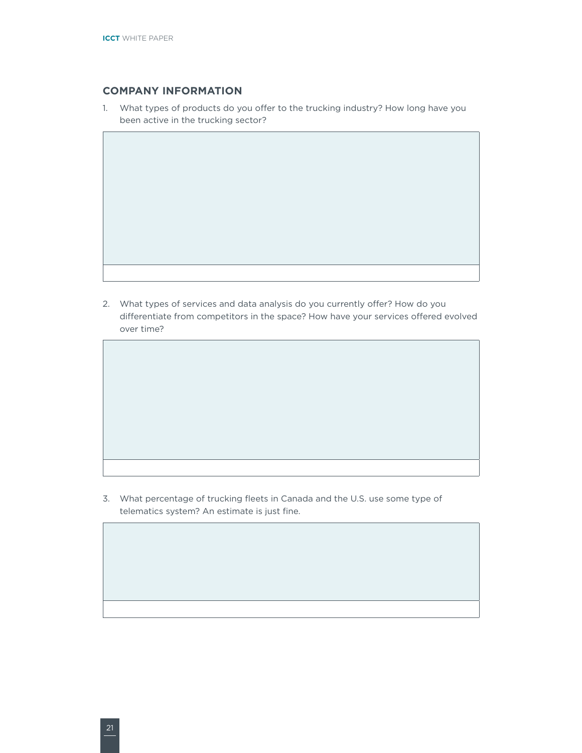#### **COMPANY INFORMATION**

1. What types of products do you offer to the trucking industry? How long have you been active in the trucking sector?

2. What types of services and data analysis do you currently offer? How do you differentiate from competitors in the space? How have your services offered evolved over time?

3. What percentage of trucking fleets in Canada and the U.S. use some type of telematics system? An estimate is just fine.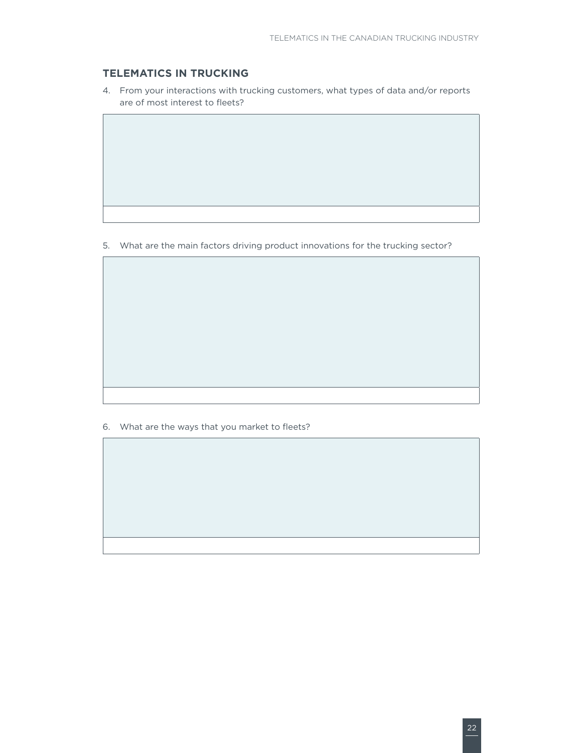#### **TELEMATICS IN TRUCKING**

4. From your interactions with trucking customers, what types of data and/or reports are of most interest to fleets?

5. What are the main factors driving product innovations for the trucking sector?

6. What are the ways that you market to fleets?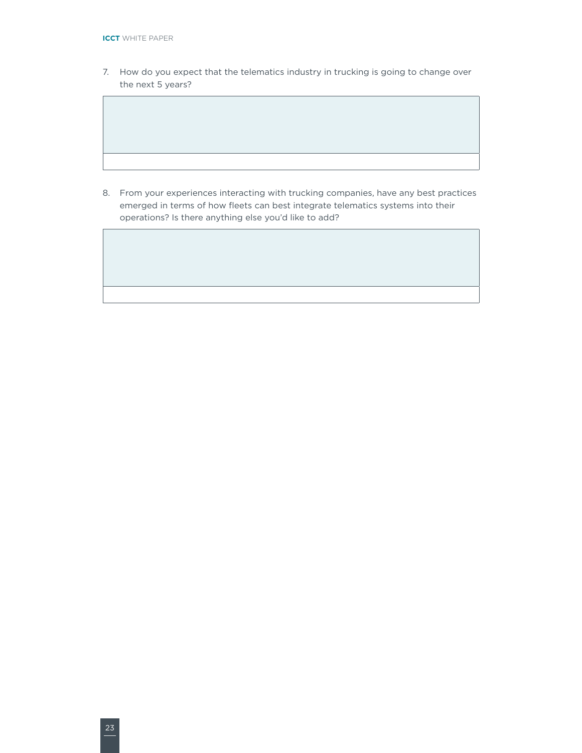7. How do you expect that the telematics industry in trucking is going to change over the next 5 years?

8. From your experiences interacting with trucking companies, have any best practices emerged in terms of how fleets can best integrate telematics systems into their operations? Is there anything else you'd like to add?